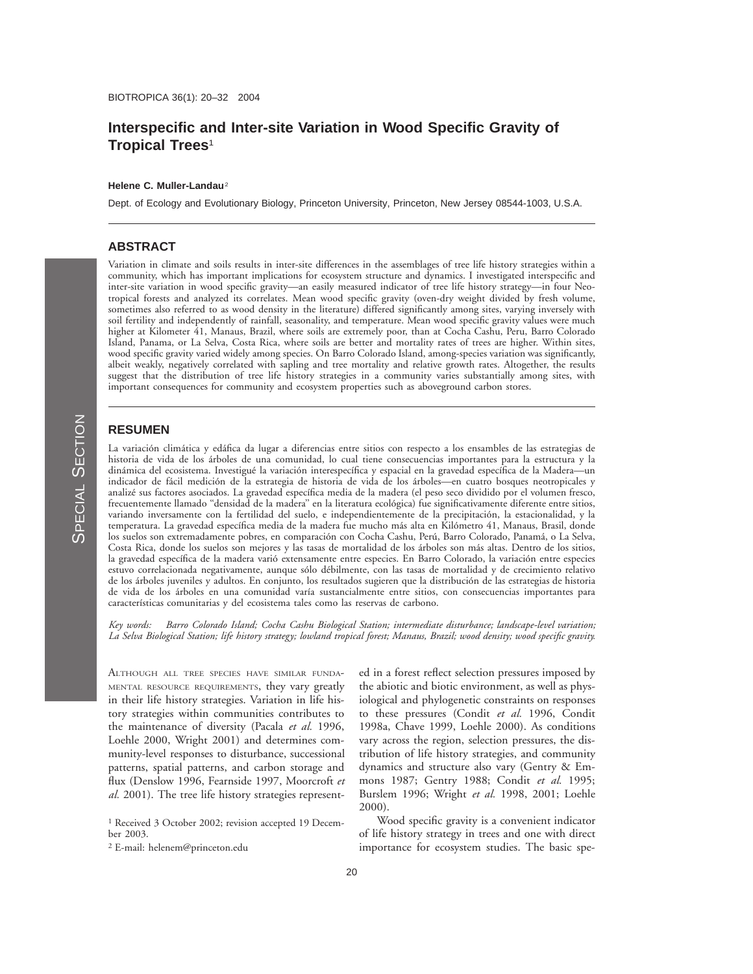# **Interspecific and Inter-site Variation in Wood Specific Gravity of Tropical Trees**<sup>1</sup>

#### **Helene C. Muller-Landau**<sup>2</sup>

Dept. of Ecology and Evolutionary Biology, Princeton University, Princeton, New Jersey 08544-1003, U.S.A.

## **ABSTRACT**

Variation in climate and soils results in inter-site differences in the assemblages of tree life history strategies within a community, which has important implications for ecosystem structure and dynamics. I investigated interspecific and inter-site variation in wood specific gravity—an easily measured indicator of tree life history strategy—in four Neotropical forests and analyzed its correlates. Mean wood specific gravity (oven-dry weight divided by fresh volume, sometimes also referred to as wood density in the literature) differed significantly among sites, varying inversely with soil fertility and independently of rainfall, seasonality, and temperature. Mean wood specific gravity values were much higher at Kilometer 41, Manaus, Brazil, where soils are extremely poor, than at Cocha Cashu, Peru, Barro Colorado Island, Panama, or La Selva, Costa Rica, where soils are better and mortality rates of trees are higher. Within sites, wood specific gravity varied widely among species. On Barro Colorado Island, among-species variation was significantly, albeit weakly, negatively correlated with sapling and tree mortality and relative growth rates. Altogether, the results suggest that the distribution of tree life history strategies in a community varies substantially among sites, with important consequences for community and ecosystem properties such as aboveground carbon stores.

#### **RESUMEN**

La variación climática y edáfica da lugar a diferencias entre sitios con respecto a los ensambles de las estrategias de historia de vida de los a´rboles de una comunidad, lo cual tiene consecuencias importantes para la estructura y la dinámica del ecosistema. Investigué la variación interespecífica y espacial en la gravedad específica de la Madera—un indicador de fácil medición de la estrategia de historia de vida de los árboles—en cuatro bosques neotropicales y analizé sus factores asociados. La gravedad específica media de la madera (el peso seco dividido por el volumen fresco, frecuentemente llamado "densidad de la madera" en la literatura ecológica) fue significativamente diferente entre sitios, variando inversamente con la fertilidad del suelo, e independientemente de la precipitación, la estacionalidad, y la temperatura. La gravedad específica media de la madera fue mucho más alta en Kilómetro 41, Manaus, Brasil, donde los suelos son extremadamente pobres, en comparación con Cocha Cashu, Perú, Barro Colorado, Panamá, o La Selva, Costa Rica, donde los suelos son mejores y las tasas de mortalidad de los árboles son más altas. Dentro de los sitios, la gravedad específica de la madera varió extensamente entre especies. En Barro Colorado, la variación entre especies estuvo correlacionada negativamente, aunque sólo débilmente, con las tasas de mortalidad y de crecimiento relativo de los árboles juveniles y adultos. En conjunto, los resultados sugieren que la distribución de las estrategias de historia de vida de los árboles en una comunidad varía sustancialmente entre sitios, con consecuencias importantes para características comunitarias y del ecosistema tales como las reservas de carbono.

*Key words: Barro Colorado Island; Cocha Cashu Biological Station; intermediate disturbance; landscape-level variation; La Selva Biological Station; life history strategy; lowland tropical forest; Manaus, Brazil; wood density; wood specific gravity.*

ALTHOUGH ALL TREE SPECIES HAVE SIMILAR FUNDA-MENTAL RESOURCE REQUIREMENTS, they vary greatly in their life history strategies. Variation in life history strategies within communities contributes to the maintenance of diversity (Pacala *et al.* 1996, Loehle 2000, Wright 2001) and determines community-level responses to disturbance, successional patterns, spatial patterns, and carbon storage and flux (Denslow 1996, Fearnside 1997, Moorcroft *et al.* 2001). The tree life history strategies represented in a forest reflect selection pressures imposed by the abiotic and biotic environment, as well as physiological and phylogenetic constraints on responses to these pressures (Condit *et al.* 1996, Condit 1998a, Chave 1999, Loehle 2000). As conditions vary across the region, selection pressures, the distribution of life history strategies, and community dynamics and structure also vary (Gentry & Emmons 1987; Gentry 1988; Condit *et al.* 1995; Burslem 1996; Wright *et al.* 1998, 2001; Loehle 2000).

Wood specific gravity is a convenient indicator of life history strategy in trees and one with direct importance for ecosystem studies. The basic spe-

<sup>1</sup> Received 3 October 2002; revision accepted 19 December 2003.

<sup>2</sup> E-mail: helenem@princeton.edu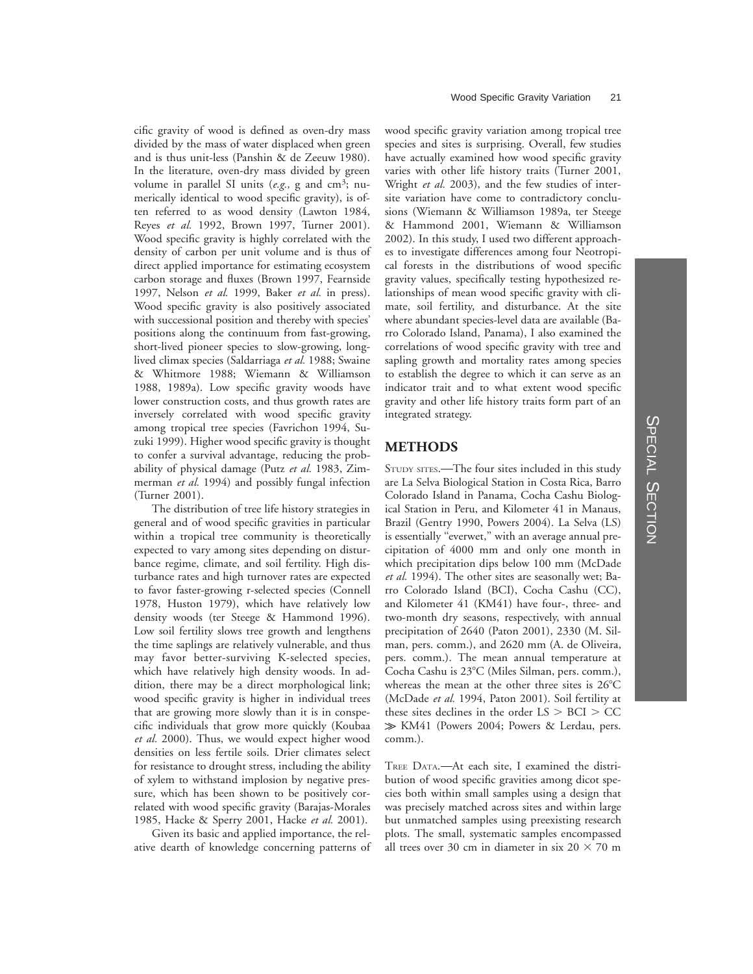cific gravity of wood is defined as oven-dry mass divided by the mass of water displaced when green and is thus unit-less (Panshin & de Zeeuw 1980). In the literature, oven-dry mass divided by green volume in parallel SI units (*e.g.*, g and cm<sup>3</sup>; numerically identical to wood specific gravity), is often referred to as wood density (Lawton 1984, Reyes *et al.* 1992, Brown 1997, Turner 2001). Wood specific gravity is highly correlated with the density of carbon per unit volume and is thus of direct applied importance for estimating ecosystem carbon storage and fluxes (Brown 1997, Fearnside 1997, Nelson *et al.* 1999, Baker *et al.* in press). Wood specific gravity is also positively associated with successional position and thereby with species' positions along the continuum from fast-growing, short-lived pioneer species to slow-growing, longlived climax species (Saldarriaga *et al.* 1988; Swaine & Whitmore 1988; Wiemann & Williamson 1988, 1989a). Low specific gravity woods have lower construction costs, and thus growth rates are inversely correlated with wood specific gravity among tropical tree species (Favrichon 1994, Suzuki 1999). Higher wood specific gravity is thought to confer a survival advantage, reducing the probability of physical damage (Putz *et al.* 1983, Zimmerman *et al.* 1994) and possibly fungal infection (Turner 2001).

The distribution of tree life history strategies in general and of wood specific gravities in particular within a tropical tree community is theoretically expected to vary among sites depending on disturbance regime, climate, and soil fertility. High disturbance rates and high turnover rates are expected to favor faster-growing r-selected species (Connell 1978, Huston 1979), which have relatively low density woods (ter Steege & Hammond 1996). Low soil fertility slows tree growth and lengthens the time saplings are relatively vulnerable, and thus may favor better-surviving K-selected species, which have relatively high density woods. In addition, there may be a direct morphological link; wood specific gravity is higher in individual trees that are growing more slowly than it is in conspecific individuals that grow more quickly (Koubaa *et al.* 2000). Thus, we would expect higher wood densities on less fertile soils. Drier climates select for resistance to drought stress, including the ability of xylem to withstand implosion by negative pressure, which has been shown to be positively correlated with wood specific gravity (Barajas-Morales 1985, Hacke & Sperry 2001, Hacke *et al.* 2001).

Given its basic and applied importance, the relative dearth of knowledge concerning patterns of wood specific gravity variation among tropical tree species and sites is surprising. Overall, few studies have actually examined how wood specific gravity varies with other life history traits (Turner 2001, Wright *et al.* 2003), and the few studies of intersite variation have come to contradictory conclusions (Wiemann & Williamson 1989a, ter Steege & Hammond 2001, Wiemann & Williamson 2002). In this study, I used two different approaches to investigate differences among four Neotropical forests in the distributions of wood specific gravity values, specifically testing hypothesized relationships of mean wood specific gravity with climate, soil fertility, and disturbance. At the site where abundant species-level data are available (Barro Colorado Island, Panama), I also examined the correlations of wood specific gravity with tree and sapling growth and mortality rates among species to establish the degree to which it can serve as an indicator trait and to what extent wood specific gravity and other life history traits form part of an integrated strategy.

# **METHODS**

STUDY SITES. The four sites included in this study are La Selva Biological Station in Costa Rica, Barro Colorado Island in Panama, Cocha Cashu Biological Station in Peru, and Kilometer 41 in Manaus, Brazil (Gentry 1990, Powers 2004). La Selva (LS) is essentially "everwet," with an average annual precipitation of 4000 mm and only one month in which precipitation dips below 100 mm (McDade *et al.* 1994). The other sites are seasonally wet; Barro Colorado Island (BCI), Cocha Cashu (CC), and Kilometer 41 (KM41) have four-, three- and two-month dry seasons, respectively, with annual precipitation of 2640 (Paton 2001), 2330 (M. Silman, pers. comm.), and 2620 mm (A. de Oliveira, pers. comm.). The mean annual temperature at Cocha Cashu is 23°C (Miles Silman, pers. comm.), whereas the mean at the other three sites is  $26^{\circ}$ C (McDade *et al.* 1994, Paton 2001). Soil fertility at these sites declines in the order  $LS > BCI > CC$ k KM41 (Powers 2004; Powers & Lerdau, pers. comm.).

TREE DATA. At each site, I examined the distribution of wood specific gravities among dicot species both within small samples using a design that was precisely matched across sites and within large but unmatched samples using preexisting research plots. The small, systematic samples encompassed all trees over 30 cm in diameter in six 20  $\times$  70 m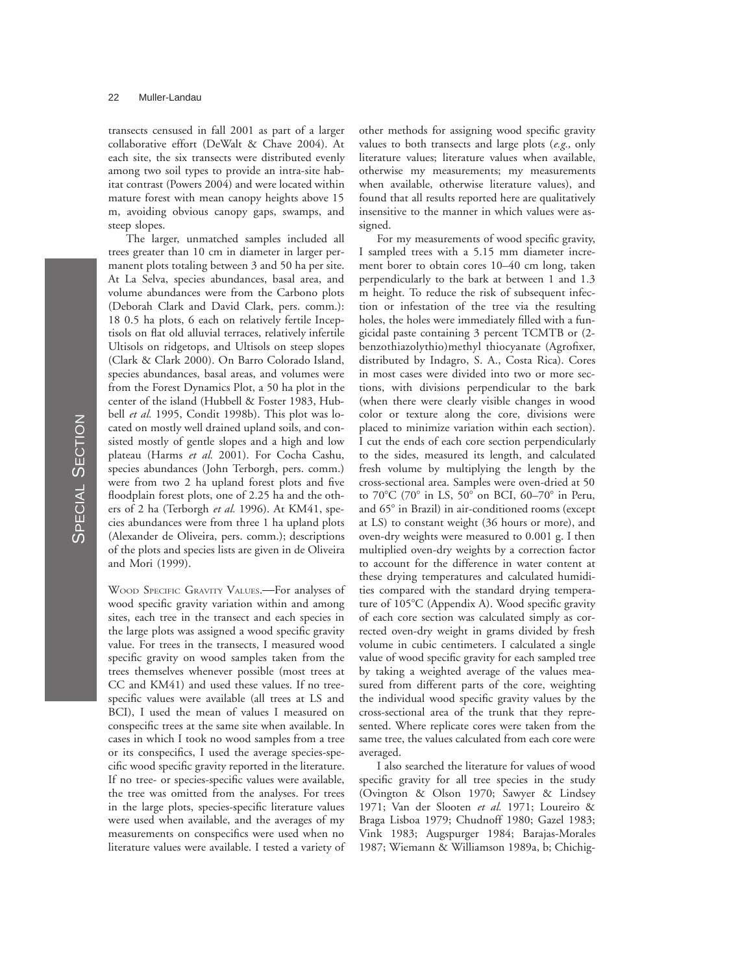transects censused in fall 2001 as part of a larger collaborative effort (DeWalt & Chave 2004). At each site, the six transects were distributed evenly among two soil types to provide an intra-site habitat contrast (Powers 2004) and were located within mature forest with mean canopy heights above 15 m, avoiding obvious canopy gaps, swamps, and steep slopes.

The larger, unmatched samples included all trees greater than 10 cm in diameter in larger permanent plots totaling between 3 and 50 ha per site. At La Selva, species abundances, basal area, and volume abundances were from the Carbono plots (Deborah Clark and David Clark, pers. comm.): 18 0.5 ha plots, 6 each on relatively fertile Inceptisols on flat old alluvial terraces, relatively infertile Ultisols on ridgetops, and Ultisols on steep slopes (Clark & Clark 2000). On Barro Colorado Island, species abundances, basal areas, and volumes were from the Forest Dynamics Plot, a 50 ha plot in the center of the island (Hubbell & Foster 1983, Hubbell *et al.* 1995, Condit 1998b). This plot was located on mostly well drained upland soils, and consisted mostly of gentle slopes and a high and low plateau (Harms *et al.* 2001). For Cocha Cashu, species abundances (John Terborgh, pers. comm.) were from two 2 ha upland forest plots and five floodplain forest plots, one of 2.25 ha and the others of 2 ha (Terborgh *et al.* 1996). At KM41, species abundances were from three 1 ha upland plots (Alexander de Oliveira, pers. comm.); descriptions of the plots and species lists are given in de Oliveira and Mori (1999).

WOOD SPECIFIC GRAVITY VALUES.-For analyses of wood specific gravity variation within and among sites, each tree in the transect and each species in the large plots was assigned a wood specific gravity value. For trees in the transects, I measured wood specific gravity on wood samples taken from the trees themselves whenever possible (most trees at CC and KM41) and used these values. If no treespecific values were available (all trees at LS and BCI), I used the mean of values I measured on conspecific trees at the same site when available. In cases in which I took no wood samples from a tree or its conspecifics, I used the average species-specific wood specific gravity reported in the literature. If no tree- or species-specific values were available, the tree was omitted from the analyses. For trees in the large plots, species-specific literature values were used when available, and the averages of my measurements on conspecifics were used when no literature values were available. I tested a variety of other methods for assigning wood specific gravity values to both transects and large plots (*e.g.,* only literature values; literature values when available, otherwise my measurements; my measurements when available, otherwise literature values), and found that all results reported here are qualitatively insensitive to the manner in which values were assigned.

For my measurements of wood specific gravity, I sampled trees with a 5.15 mm diameter increment borer to obtain cores 10–40 cm long, taken perpendicularly to the bark at between 1 and 1.3 m height. To reduce the risk of subsequent infection or infestation of the tree via the resulting holes, the holes were immediately filled with a fungicidal paste containing 3 percent TCMTB or (2 benzothiazolythio)methyl thiocyanate (Agrofixer, distributed by Indagro, S. A., Costa Rica). Cores in most cases were divided into two or more sections, with divisions perpendicular to the bark (when there were clearly visible changes in wood color or texture along the core, divisions were placed to minimize variation within each section). I cut the ends of each core section perpendicularly to the sides, measured its length, and calculated fresh volume by multiplying the length by the cross-sectional area. Samples were oven-dried at 50 to  $70^{\circ}$ C (70° in LS, 50° on BCI, 60–70° in Peru, and 65° in Brazil) in air-conditioned rooms (except at LS) to constant weight (36 hours or more), and oven-dry weights were measured to 0.001 g. I then multiplied oven-dry weights by a correction factor to account for the difference in water content at these drying temperatures and calculated humidities compared with the standard drying temperature of  $105^{\circ}$ C (Appendix A). Wood specific gravity of each core section was calculated simply as corrected oven-dry weight in grams divided by fresh volume in cubic centimeters. I calculated a single value of wood specific gravity for each sampled tree by taking a weighted average of the values measured from different parts of the core, weighting the individual wood specific gravity values by the cross-sectional area of the trunk that they represented. Where replicate cores were taken from the same tree, the values calculated from each core were averaged.

I also searched the literature for values of wood specific gravity for all tree species in the study (Ovington & Olson 1970; Sawyer & Lindsey 1971; Van der Slooten *et al.* 1971; Loureiro & Braga Lisboa 1979; Chudnoff 1980; Gazel 1983; Vink 1983; Augspurger 1984; Barajas-Morales 1987; Wiemann & Williamson 1989a, b; Chichig-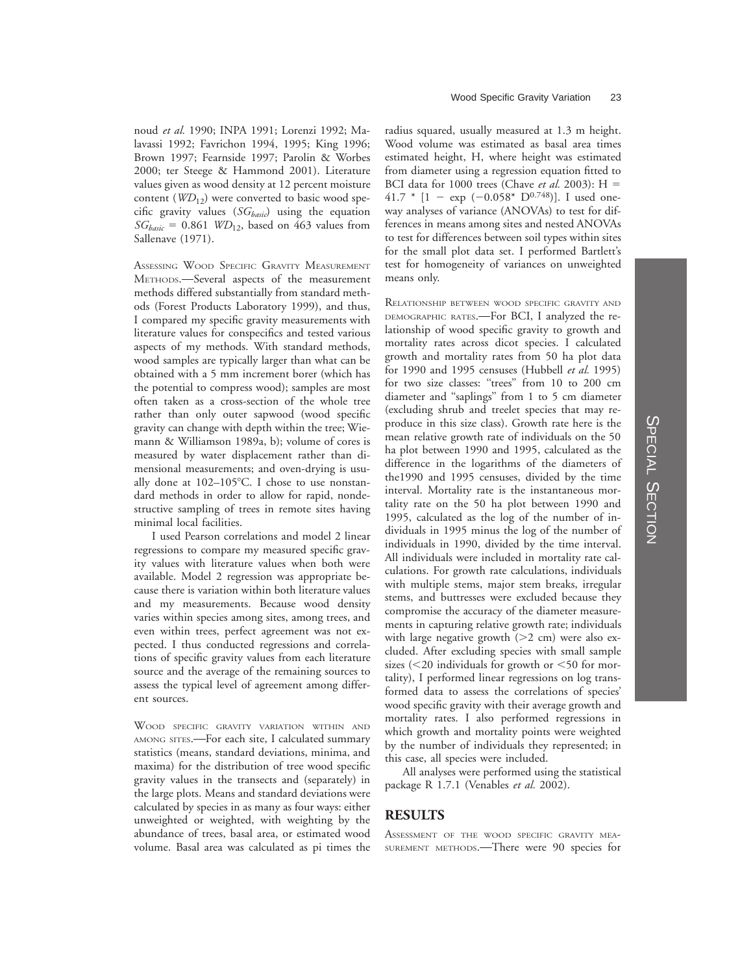noud *et al.* 1990; INPA 1991; Lorenzi 1992; Malavassi 1992; Favrichon 1994, 1995; King 1996; Brown 1997; Fearnside 1997; Parolin & Worbes 2000; ter Steege & Hammond 2001). Literature values given as wood density at 12 percent moisture content (*WD*<sub>12</sub>) were converted to basic wood specific gravity values (*SGbasic*) using the equation  $SG_{basic} = 0.861$  *WD*<sub>12</sub>, based on 463 values from Sallenave (1971).

ASSESSING WOOD SPECIFIC GRAVITY MEASUREMENT METHODS.-Several aspects of the measurement methods differed substantially from standard methods (Forest Products Laboratory 1999), and thus, I compared my specific gravity measurements with literature values for conspecifics and tested various aspects of my methods. With standard methods, wood samples are typically larger than what can be obtained with a 5 mm increment borer (which has the potential to compress wood); samples are most often taken as a cross-section of the whole tree rather than only outer sapwood (wood specific gravity can change with depth within the tree; Wiemann & Williamson 1989a, b); volume of cores is measured by water displacement rather than dimensional measurements; and oven-drying is usually done at  $102-105^{\circ}$ C. I chose to use nonstandard methods in order to allow for rapid, nondestructive sampling of trees in remote sites having minimal local facilities.

I used Pearson correlations and model 2 linear regressions to compare my measured specific gravity values with literature values when both were available. Model 2 regression was appropriate because there is variation within both literature values and my measurements. Because wood density varies within species among sites, among trees, and even within trees, perfect agreement was not expected. I thus conducted regressions and correlations of specific gravity values from each literature source and the average of the remaining sources to assess the typical level of agreement among different sources.

WOOD SPECIFIC GRAVITY VARIATION WITHIN AND AMONG SITES.<sup>--</sup>For each site, I calculated summary statistics (means, standard deviations, minima, and maxima) for the distribution of tree wood specific gravity values in the transects and (separately) in the large plots. Means and standard deviations were calculated by species in as many as four ways: either unweighted or weighted, with weighting by the abundance of trees, basal area, or estimated wood volume. Basal area was calculated as pi times the

radius squared, usually measured at 1.3 m height. Wood volume was estimated as basal area times estimated height, H, where height was estimated from diameter using a regression equation fitted to BCI data for 1000 trees (Chave *et al.* 2003):  $H =$ 41.7 \*  $[1 - \exp(-0.058 \cdot D^{0.748})]$ . I used oneway analyses of variance (ANOVAs) to test for differences in means among sites and nested ANOVAs to test for differences between soil types within sites for the small plot data set. I performed Bartlett's test for homogeneity of variances on unweighted means only.

RELATIONSHIP BETWEEN WOOD SPECIFIC GRAVITY AND DEMOGRAPHIC RATES. - For BCI, I analyzed the relationship of wood specific gravity to growth and mortality rates across dicot species. I calculated growth and mortality rates from 50 ha plot data for 1990 and 1995 censuses (Hubbell *et al.* 1995) for two size classes: "trees" from 10 to 200 cm diameter and ''saplings'' from 1 to 5 cm diameter (excluding shrub and treelet species that may reproduce in this size class). Growth rate here is the mean relative growth rate of individuals on the 50 ha plot between 1990 and 1995, calculated as the difference in the logarithms of the diameters of the1990 and 1995 censuses, divided by the time interval. Mortality rate is the instantaneous mortality rate on the 50 ha plot between 1990 and 1995, calculated as the log of the number of individuals in 1995 minus the log of the number of individuals in 1990, divided by the time interval. All individuals were included in mortality rate calculations. For growth rate calculations, individuals with multiple stems, major stem breaks, irregular stems, and buttresses were excluded because they compromise the accuracy of the diameter measurements in capturing relative growth rate; individuals with large negative growth  $(>2$  cm) were also excluded. After excluding species with small sample sizes ( $<$ 20 individuals for growth or  $<$ 50 for mortality), I performed linear regressions on log transformed data to assess the correlations of species' wood specific gravity with their average growth and mortality rates. I also performed regressions in which growth and mortality points were weighted by the number of individuals they represented; in this case, all species were included.

All analyses were performed using the statistical package R 1.7.1 (Venables *et al.* 2002).

# **RESULTS**

ASSESSMENT OF THE WOOD SPECIFIC GRAVITY MEA-SUREMENT METHODS. There were 90 species for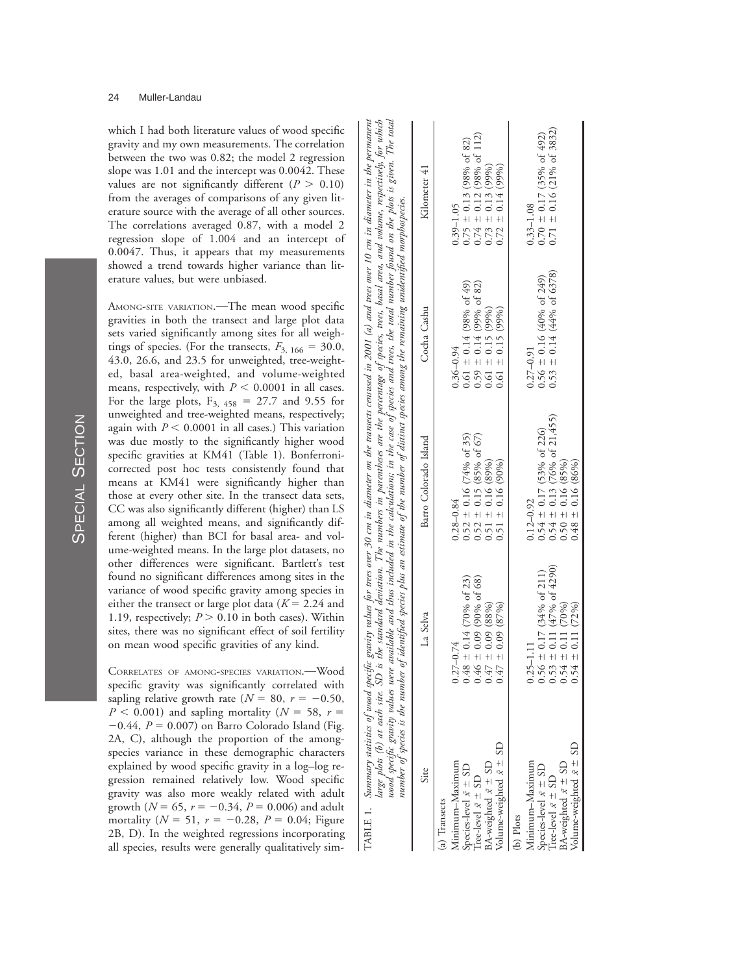which I had both literature values of wood specific gravity and my own measurements. The correlation between the two was 0.82; the model 2 regression slope was 1.01 and the intercept was 0.0042. These values are not significantly different  $(P > 0.10)$ from the averages of comparisons of any given literature source with the average of all other sources. The correlations averaged 0.87, with a model 2 regression slope of 1.004 and an intercept of 0.0047. Thus, it appears that my measurements showed a trend towards higher variance than literature values, but were unbiased.

AMONG-SITE VARIATION. The mean wood specific gravities in both the transect and large plot data sets varied significantly among sites for all weightings of species. (For the transects,  $F_{3, 166} = 30.0$ , 43.0, 26.6, and 23.5 for unweighted, tree-weighted, basal area-weighted, and volume-weighted means, respectively, with  $P < 0.0001$  in all cases. For the large plots,  $F_{3, 458} = 27.7$  and 9.55 for unweighted and tree-weighted means, respectively; again with  $P < 0.0001$  in all cases.) This variation was due mostly to the significantly higher wood specific gravities at KM41 (Table 1). Bonferronicorrected post hoc tests consistently found that means at KM41 were significantly higher than those at every other site. In the transect data sets, CC was also significantly different (higher) than LS among all weighted means, and significantly different (higher) than BCI for basal area- and volume-weighted means. In the large plot datasets, no other differences were significant. Bartlett's test found no significant differences among sites in the variance of wood specific gravity among species in either the transect or large plot data  $(K = 2.24$  and 1.19, respectively;  $P > 0.10$  in both cases). Within sites, there was no significant effect of soil fertility on mean wood specific gravities of any kind.

CORRELATES OF AMONG-SPECIES VARIATION. Wood specific gravity was significantly correlated with sapling relative growth rate  $(N = 80, r = -0.50,$  $P < 0.001$ ) and sapling mortality ( $N = 58$ ,  $r =$  $-0.44$ ,  $P = 0.007$ ) on Barro Colorado Island (Fig. 2A, C), although the proportion of the amongspecies variance in these demographic characters explained by wood specific gravity in a log–log regression remained relatively low. Wood specific gravity was also more weakly related with adult growth ( $N = 65$ ,  $r = -0.34$ ,  $P = 0.006$ ) and adult mortality ( $N = 51$ ,  $r = -0.28$ ,  $P = 0.04$ ; Figure 2B, D). In the weighted regressions incorporating all species, results were generally qualitatively sim-

|                                | wood specific gravity values were<br>number of species is the number |                                    | TABLE 1. Summary statistics of wood specific gravity values for trees over 30 cm in diameter on the transects censueed in 2001 (a) and trees over 10 cm in diameter in the permanent<br>available and thus included in the calculations; in the case of species and trees, the total number found on the plots is given. The total<br>large plots (b) at each site. SD is the standard deviation. The numbers in parentheses are the percentage of species, trees, basal area, and volume, respectively, for which<br>of identified species plus an estimate of the number of distinct species among the remaining unidentified morphospecies. |                               |                               |
|--------------------------------|----------------------------------------------------------------------|------------------------------------|------------------------------------------------------------------------------------------------------------------------------------------------------------------------------------------------------------------------------------------------------------------------------------------------------------------------------------------------------------------------------------------------------------------------------------------------------------------------------------------------------------------------------------------------------------------------------------------------------------------------------------------------|-------------------------------|-------------------------------|
|                                | Site                                                                 | La Selva                           | Barro Colorado Island                                                                                                                                                                                                                                                                                                                                                                                                                                                                                                                                                                                                                          | Cocha Cashu                   | Kilometer 41                  |
| a) Transects                   |                                                                      |                                    |                                                                                                                                                                                                                                                                                                                                                                                                                                                                                                                                                                                                                                                |                               |                               |
| Minimum-Maximum                |                                                                      | $0.27 - 0.74$                      | $0.28 - 0.84$                                                                                                                                                                                                                                                                                                                                                                                                                                                                                                                                                                                                                                  | $0.36 - 0.94$                 | $0.39 - 1.05$                 |
| Species-level $\bar{x} \pm SD$ |                                                                      | $0.48 \pm 0.14$ (70% of 23)        | $0.52 \pm 0.16$ (74% of 35)                                                                                                                                                                                                                                                                                                                                                                                                                                                                                                                                                                                                                    | $0.61 \pm 0.14$ (98% of 49)   | $0.75 \pm 0.13$ (98% of 82)   |
| Free-level $\bar{x} \pm SD$    |                                                                      | $0.46 \pm 0.09$ (90% of 68)        | $0.52 \pm 0.15$ (85% of 67)                                                                                                                                                                                                                                                                                                                                                                                                                                                                                                                                                                                                                    | $0.59 \pm 0.14$ (99% of 82)   | $0.74 \pm 0.12$ (98% of 112)  |
| BA-weighted $\bar{x} \pm$ SD   |                                                                      | $0.47 \pm 0.09$ (88%)              | $0.51 \pm 0.16$ (89%)                                                                                                                                                                                                                                                                                                                                                                                                                                                                                                                                                                                                                          | $0.61 \pm 0.15$ (99%)         | $0.73 \pm 0.13$ (99%)         |
|                                | $\sqrt{\text{olume}-weighted}$ $\bar{x} \pm \text{SD}$               | $(87\%)$<br>0.47                   | $0.51 \pm 0.16$ (90%)                                                                                                                                                                                                                                                                                                                                                                                                                                                                                                                                                                                                                          | $0.61 \pm 0.15$ (99%)         | $0.72 \pm 0.14$ (99%)         |
| (b) Plots                      |                                                                      |                                    |                                                                                                                                                                                                                                                                                                                                                                                                                                                                                                                                                                                                                                                |                               |                               |
| Minimum-Maximum                |                                                                      | $0.25 - 1.11$                      | $0.12 - 0.92$                                                                                                                                                                                                                                                                                                                                                                                                                                                                                                                                                                                                                                  | $0.27 - 0.91$                 | $0.33 - 1.08$                 |
| Species-level $\bar{x} \pm$ SD |                                                                      | $0.56 \pm 0.17$ (34% of 211)       | $0.54 \pm 0.17$ (53% of 226)                                                                                                                                                                                                                                                                                                                                                                                                                                                                                                                                                                                                                   | $0.56 \pm 0.16$ (40% of 249)  | $0.70 \pm 0.17$ (35% of 492)  |
| [ree-level $\bar{x} \pm SD$    |                                                                      | $0.53 \pm 0.11$ (47% of 4290)      | $0.54 \pm 0.13$ (76% of 21,455)                                                                                                                                                                                                                                                                                                                                                                                                                                                                                                                                                                                                                | $0.53 \pm 0.14$ (44% of 6378) | $0.71 \pm 0.16$ (21% of 3832) |
| BA-weighted $\bar{x} \pm$ SD   |                                                                      | $0.54 \pm 0.11$ (70%)              | $0.50 \pm 0.16(85\%)$                                                                                                                                                                                                                                                                                                                                                                                                                                                                                                                                                                                                                          |                               |                               |
|                                | Volume-weighted $\bar{x} \pm$ SD                                     | $\frac{1}{2}$ = 0.11 (72%)<br>0.54 | $0.48 \pm 0.16$ (86%)                                                                                                                                                                                                                                                                                                                                                                                                                                                                                                                                                                                                                          |                               |                               |
|                                |                                                                      |                                    |                                                                                                                                                                                                                                                                                                                                                                                                                                                                                                                                                                                                                                                |                               |                               |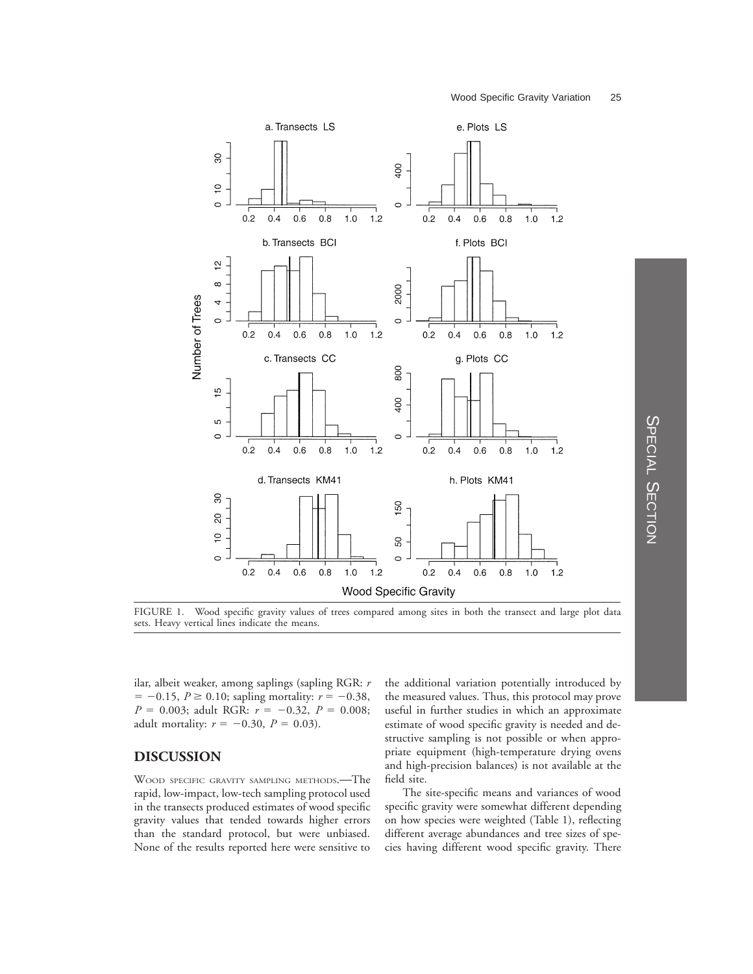

FIGURE 1. Wood specific gravity values of trees compared among sites in both the transect and large plot data sets. Heavy vertical lines indicate the means.

ilar, albeit weaker, among saplings (sapling RGR: *r*  $= -0.15$ ,  $P \ge 0.10$ ; sapling mortality:  $r = -0.38$ ,  $P = 0.003$ ; adult RGR:  $r = -0.32$ ,  $P = 0.008$ ; adult mortality:  $r = -0.30, P = 0.03$ .

## **DISCUSSION**

WOOD SPECIFIC GRAVITY SAMPLING METHODS.—The rapid, low-impact, low-tech sampling protocol used in the transects produced estimates of wood specific gravity values that tended towards higher errors than the standard protocol, but were unbiased. None of the results reported here were sensitive to

the additional variation potentially introduced by the measured values. Thus, this protocol may prove useful in further studies in which an approximate estimate of wood specific gravity is needed and destructive sampling is not possible or when appropriate equipment (high-temperature drying ovens and high-precision balances) is not available at the field site.

The site-specific means and variances of wood specific gravity were somewhat different depending on how species were weighted (Table 1), reflecting different average abundances and tree sizes of species having different wood specific gravity. There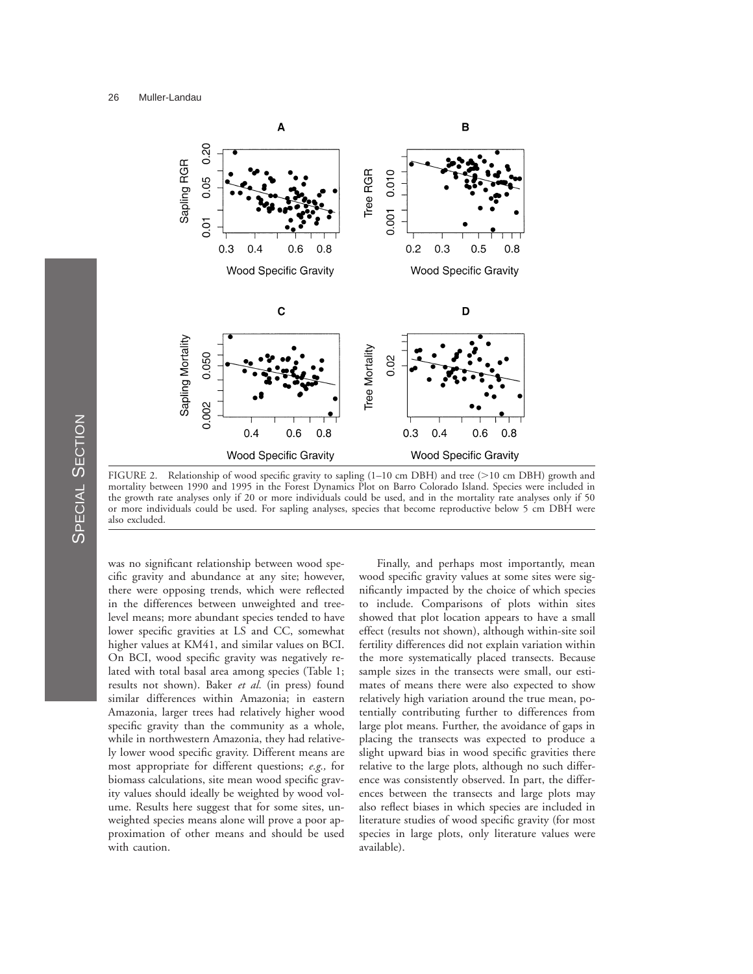

FIGURE 2. Relationship of wood specific gravity to sapling (1–10 cm DBH) and tree (>10 cm DBH) growth and mortality between 1990 and 1995 in the Forest Dynamics Plot on Barro Colorado Island. Species were included in the growth rate analyses only if 20 or more individuals could be used, and in the mortality rate analyses only if 50 or more individuals could be used. For sapling analyses, species that become reproductive below 5 cm DBH were also excluded.

was no significant relationship between wood specific gravity and abundance at any site; however, there were opposing trends, which were reflected in the differences between unweighted and treelevel means; more abundant species tended to have lower specific gravities at LS and CC, somewhat higher values at KM41, and similar values on BCI. On BCI, wood specific gravity was negatively related with total basal area among species (Table 1; results not shown). Baker *et al.* (in press) found similar differences within Amazonia; in eastern Amazonia, larger trees had relatively higher wood specific gravity than the community as a whole, while in northwestern Amazonia, they had relatively lower wood specific gravity. Different means are most appropriate for different questions; *e.g.,* for biomass calculations, site mean wood specific gravity values should ideally be weighted by wood volume. Results here suggest that for some sites, unweighted species means alone will prove a poor approximation of other means and should be used with caution.

Finally, and perhaps most importantly, mean wood specific gravity values at some sites were significantly impacted by the choice of which species to include. Comparisons of plots within sites showed that plot location appears to have a small effect (results not shown), although within-site soil fertility differences did not explain variation within the more systematically placed transects. Because sample sizes in the transects were small, our estimates of means there were also expected to show relatively high variation around the true mean, potentially contributing further to differences from large plot means. Further, the avoidance of gaps in placing the transects was expected to produce a slight upward bias in wood specific gravities there relative to the large plots, although no such difference was consistently observed. In part, the differences between the transects and large plots may also reflect biases in which species are included in literature studies of wood specific gravity (for most species in large plots, only literature values were available).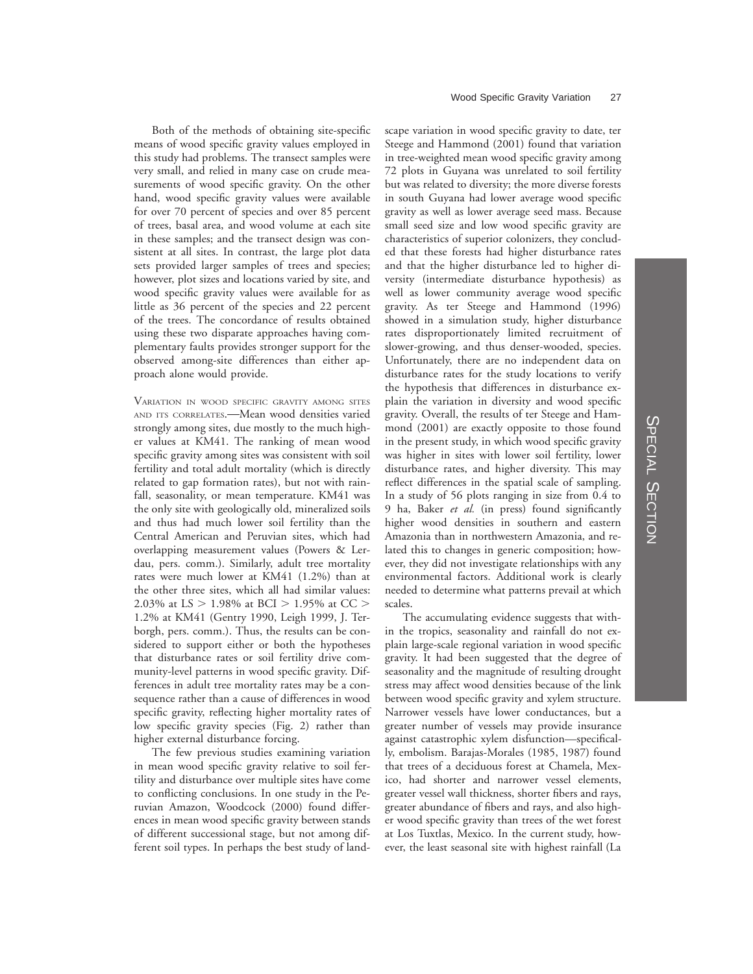Wood Specific Gravity Variation 27

Both of the methods of obtaining site-specific means of wood specific gravity values employed in this study had problems. The transect samples were very small, and relied in many case on crude measurements of wood specific gravity. On the other hand, wood specific gravity values were available for over 70 percent of species and over 85 percent of trees, basal area, and wood volume at each site in these samples; and the transect design was consistent at all sites. In contrast, the large plot data sets provided larger samples of trees and species; however, plot sizes and locations varied by site, and wood specific gravity values were available for as little as 36 percent of the species and 22 percent of the trees. The concordance of results obtained using these two disparate approaches having complementary faults provides stronger support for the observed among-site differences than either approach alone would provide.

VARIATION IN WOOD SPECIFIC GRAVITY AMONG SITES AND ITS CORRELATES. Mean wood densities varied strongly among sites, due mostly to the much higher values at KM41. The ranking of mean wood specific gravity among sites was consistent with soil fertility and total adult mortality (which is directly related to gap formation rates), but not with rainfall, seasonality, or mean temperature. KM41 was the only site with geologically old, mineralized soils and thus had much lower soil fertility than the Central American and Peruvian sites, which had overlapping measurement values (Powers & Lerdau, pers. comm.). Similarly, adult tree mortality rates were much lower at KM41 (1.2%) than at the other three sites, which all had similar values: 2.03% at  $LS > 1.98$ % at  $BCI > 1.95$ % at  $CC >$ 1.2% at KM41 (Gentry 1990, Leigh 1999, J. Terborgh, pers. comm.). Thus, the results can be considered to support either or both the hypotheses that disturbance rates or soil fertility drive community-level patterns in wood specific gravity. Differences in adult tree mortality rates may be a consequence rather than a cause of differences in wood specific gravity, reflecting higher mortality rates of low specific gravity species (Fig. 2) rather than higher external disturbance forcing.

The few previous studies examining variation in mean wood specific gravity relative to soil fertility and disturbance over multiple sites have come to conflicting conclusions. In one study in the Peruvian Amazon, Woodcock (2000) found differences in mean wood specific gravity between stands of different successional stage, but not among different soil types. In perhaps the best study of landscape variation in wood specific gravity to date, ter Steege and Hammond (2001) found that variation in tree-weighted mean wood specific gravity among 72 plots in Guyana was unrelated to soil fertility but was related to diversity; the more diverse forests in south Guyana had lower average wood specific gravity as well as lower average seed mass. Because small seed size and low wood specific gravity are characteristics of superior colonizers, they concluded that these forests had higher disturbance rates and that the higher disturbance led to higher diversity (intermediate disturbance hypothesis) as well as lower community average wood specific gravity. As ter Steege and Hammond (1996) showed in a simulation study, higher disturbance rates disproportionately limited recruitment of slower-growing, and thus denser-wooded, species. Unfortunately, there are no independent data on disturbance rates for the study locations to verify the hypothesis that differences in disturbance explain the variation in diversity and wood specific gravity. Overall, the results of ter Steege and Hammond (2001) are exactly opposite to those found in the present study, in which wood specific gravity was higher in sites with lower soil fertility, lower disturbance rates, and higher diversity. This may reflect differences in the spatial scale of sampling. In a study of 56 plots ranging in size from 0.4 to 9 ha, Baker *et al.* (in press) found significantly higher wood densities in southern and eastern Amazonia than in northwestern Amazonia, and related this to changes in generic composition; however, they did not investigate relationships with any environmental factors. Additional work is clearly needed to determine what patterns prevail at which scales.

The accumulating evidence suggests that within the tropics, seasonality and rainfall do not explain large-scale regional variation in wood specific gravity. It had been suggested that the degree of seasonality and the magnitude of resulting drought stress may affect wood densities because of the link between wood specific gravity and xylem structure. Narrower vessels have lower conductances, but a greater number of vessels may provide insurance against catastrophic xylem disfunction—specifically, embolism. Barajas-Morales (1985, 1987) found that trees of a deciduous forest at Chamela, Mexico, had shorter and narrower vessel elements, greater vessel wall thickness, shorter fibers and rays, greater abundance of fibers and rays, and also higher wood specific gravity than trees of the wet forest at Los Tuxtlas, Mexico. In the current study, however, the least seasonal site with highest rainfall (La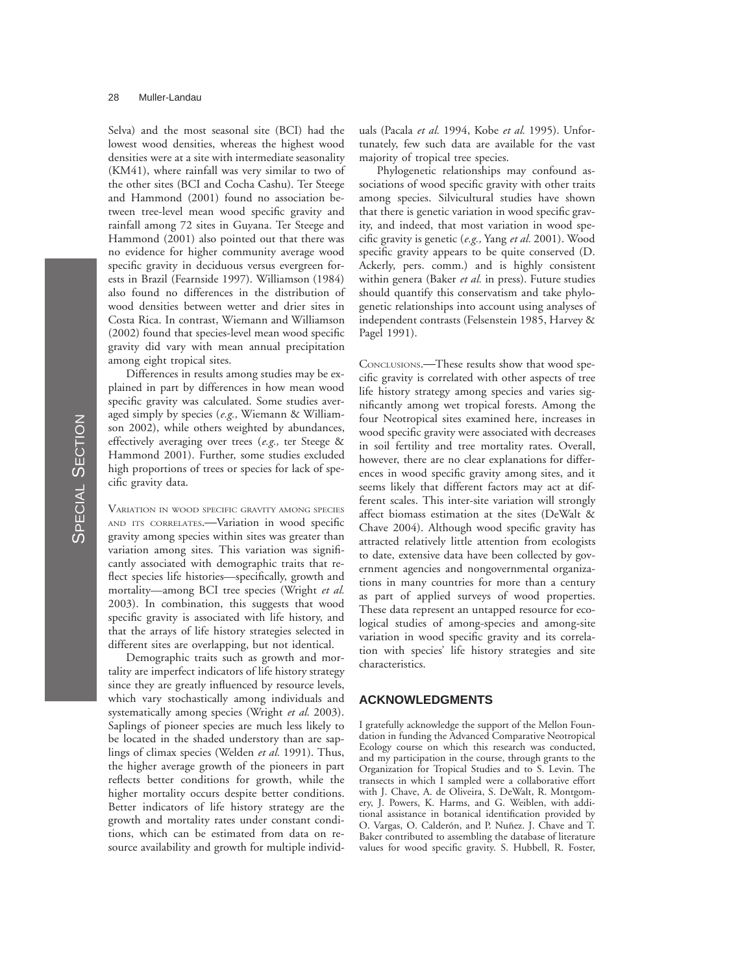Selva) and the most seasonal site (BCI) had the lowest wood densities, whereas the highest wood densities were at a site with intermediate seasonality (KM41), where rainfall was very similar to two of the other sites (BCI and Cocha Cashu). Ter Steege and Hammond (2001) found no association between tree-level mean wood specific gravity and rainfall among 72 sites in Guyana. Ter Steege and Hammond (2001) also pointed out that there was no evidence for higher community average wood specific gravity in deciduous versus evergreen forests in Brazil (Fearnside 1997). Williamson (1984) also found no differences in the distribution of wood densities between wetter and drier sites in Costa Rica. In contrast, Wiemann and Williamson (2002) found that species-level mean wood specific gravity did vary with mean annual precipitation among eight tropical sites.

Differences in results among studies may be explained in part by differences in how mean wood specific gravity was calculated. Some studies averaged simply by species (*e.g.,* Wiemann & Williamson 2002), while others weighted by abundances, effectively averaging over trees (*e.g.,* ter Steege & Hammond 2001). Further, some studies excluded high proportions of trees or species for lack of specific gravity data.

VARIATION IN WOOD SPECIFIC GRAVITY AMONG SPECIES AND ITS CORRELATES.-Variation in wood specific gravity among species within sites was greater than variation among sites. This variation was significantly associated with demographic traits that reflect species life histories—specifically, growth and mortality—among BCI tree species (Wright *et al.* 2003). In combination, this suggests that wood specific gravity is associated with life history, and that the arrays of life history strategies selected in different sites are overlapping, but not identical.

Demographic traits such as growth and mortality are imperfect indicators of life history strategy since they are greatly influenced by resource levels, which vary stochastically among individuals and systematically among species (Wright *et al.* 2003). Saplings of pioneer species are much less likely to be located in the shaded understory than are saplings of climax species (Welden *et al.* 1991). Thus, the higher average growth of the pioneers in part reflects better conditions for growth, while the higher mortality occurs despite better conditions. Better indicators of life history strategy are the growth and mortality rates under constant conditions, which can be estimated from data on resource availability and growth for multiple individuals (Pacala *et al.* 1994, Kobe *et al.* 1995). Unfortunately, few such data are available for the vast majority of tropical tree species.

Phylogenetic relationships may confound associations of wood specific gravity with other traits among species. Silvicultural studies have shown that there is genetic variation in wood specific gravity, and indeed, that most variation in wood specific gravity is genetic (*e.g.,* Yang *et al.* 2001). Wood specific gravity appears to be quite conserved (D. Ackerly, pers. comm.) and is highly consistent within genera (Baker *et al.* in press). Future studies should quantify this conservatism and take phylogenetic relationships into account using analyses of independent contrasts (Felsenstein 1985, Harvey & Pagel 1991).

CONCLUSIONS. - These results show that wood specific gravity is correlated with other aspects of tree life history strategy among species and varies significantly among wet tropical forests. Among the four Neotropical sites examined here, increases in wood specific gravity were associated with decreases in soil fertility and tree mortality rates. Overall, however, there are no clear explanations for differences in wood specific gravity among sites, and it seems likely that different factors may act at different scales. This inter-site variation will strongly affect biomass estimation at the sites (DeWalt & Chave 2004). Although wood specific gravity has attracted relatively little attention from ecologists to date, extensive data have been collected by government agencies and nongovernmental organizations in many countries for more than a century as part of applied surveys of wood properties. These data represent an untapped resource for ecological studies of among-species and among-site variation in wood specific gravity and its correlation with species' life history strategies and site characteristics.

### **ACKNOWLEDGMENTS**

I gratefully acknowledge the support of the Mellon Foundation in funding the Advanced Comparative Neotropical Ecology course on which this research was conducted, and my participation in the course, through grants to the Organization for Tropical Studies and to S. Levin. The transects in which I sampled were a collaborative effort with J. Chave, A. de Oliveira, S. DeWalt, R. Montgomery, J. Powers, K. Harms, and G. Weiblen, with additional assistance in botanical identification provided by O. Vargas, O. Calderón, and P. Nuñez. J. Chave and T. Baker contributed to assembling the database of literature values for wood specific gravity. S. Hubbell, R. Foster,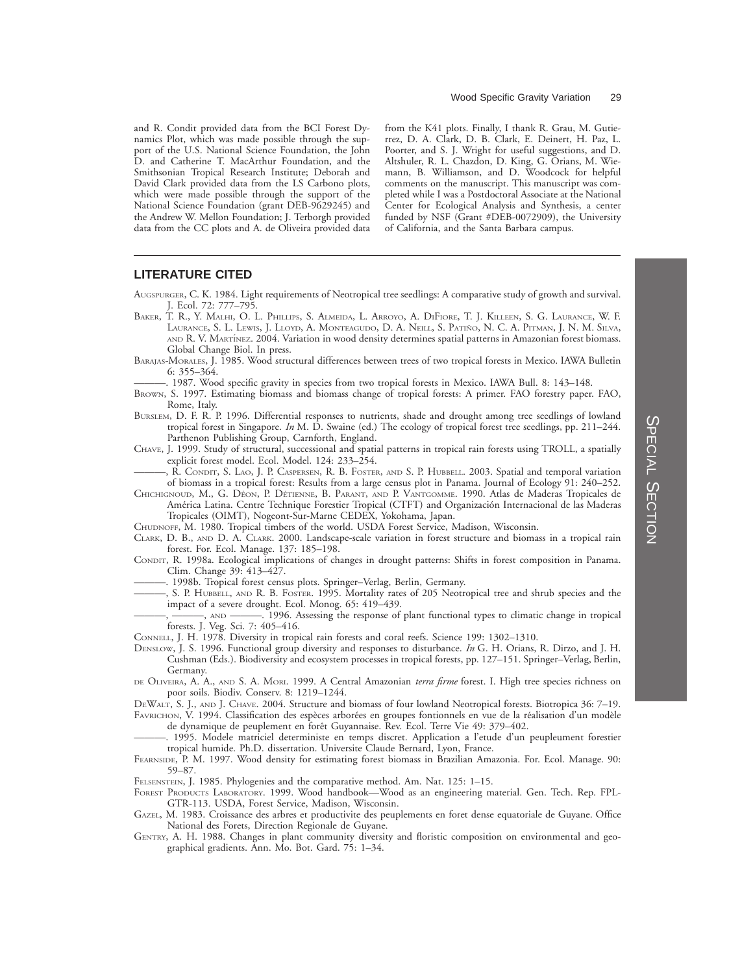and R. Condit provided data from the BCI Forest Dynamics Plot, which was made possible through the support of the U.S. National Science Foundation, the John D. and Catherine T. MacArthur Foundation, and the Smithsonian Tropical Research Institute; Deborah and David Clark provided data from the LS Carbono plots, which were made possible through the support of the National Science Foundation (grant DEB-9629245) and the Andrew W. Mellon Foundation; J. Terborgh provided data from the CC plots and A. de Oliveira provided data

from the K41 plots. Finally, I thank R. Grau, M. Gutierrez, D. A. Clark, D. B. Clark, E. Deinert, H. Paz, L. Poorter, and S. J. Wright for useful suggestions, and D. Altshuler, R. L. Chazdon, D. King, G. Orians, M. Wiemann, B. Williamson, and D. Woodcock for helpful comments on the manuscript. This manuscript was completed while I was a Postdoctoral Associate at the National Center for Ecological Analysis and Synthesis, a center funded by NSF (Grant #DEB-0072909), the University of California, and the Santa Barbara campus.

### **LITERATURE CITED**

- AUGSPURGER, C. K. 1984. Light requirements of Neotropical tree seedlings: A comparative study of growth and survival. J. Ecol. 72: 777–795.
- BAKER, T. R., Y. MALHI, O. L. PHILLIPS, S. ALMEIDA, L. ARROYO, A. DIFIORE, T. J. KILLEEN, S. G. LAURANCE, W. F. LAURANCE, S. L. LEWIS, J. LLOYD, A. MONTEAGUDO, D. A. NEILL, S. PATIÑO, N. C. A. PITMAN, J. N. M. SILVA, AND R. V. MARTÍNEZ. 2004. Variation in wood density determines spatial patterns in Amazonian forest biomass. Global Change Biol. In press.
- BARAJAS-MORALES, J. 1985. Wood structural differences between trees of two tropical forests in Mexico. IAWA Bulletin 6: 355–364.
	- ———. 1987. Wood specific gravity in species from two tropical forests in Mexico. IAWA Bull. 8: 143–148.
- BROWN, S. 1997. Estimating biomass and biomass change of tropical forests: A primer. FAO forestry paper. FAO, Rome, Italy.
- BURSLEM, D. F. R. P. 1996. Differential responses to nutrients, shade and drought among tree seedlings of lowland tropical forest in Singapore. *In* M. D. Swaine (ed.) The ecology of tropical forest tree seedlings, pp. 211–244. Parthenon Publishing Group, Carnforth, England.
- CHAVE, J. 1999. Study of structural, successional and spatial patterns in tropical rain forests using TROLL, a spatially explicit forest model. Ecol. Model. 124: 233–254.

———, R. CONDIT, S. LAO, J. P. CASPERSEN, R. B. FOSTER, AND S. P. HUBBELL. 2003. Spatial and temporal variation of biomass in a tropical forest: Results from a large census plot in Panama. Journal of Ecology 91: 240–252.

- CHICHIGNOUD, M., G. DE´ON, P. DE´TIENNE, B. PARANT, AND P. VANTGOMME. 1990. Atlas de Maderas Tropicales de América Latina. Centre Technique Forestier Tropical (CTFT) and Organización Internacional de las Maderas Tropicales (OIMT), Nogeont-Sur-Marne CEDEX, Yokohama, Japan.
- CHUDNOFF, M. 1980. Tropical timbers of the world. USDA Forest Service, Madison, Wisconsin.

CLARK, D. B., AND D. A. CLARK. 2000. Landscape-scale variation in forest structure and biomass in a tropical rain forest. For. Ecol. Manage. 137: 185–198.

- CONDIT, R. 1998a. Ecological implications of changes in drought patterns: Shifts in forest composition in Panama. Clim. Change 39: 413–427.
	- -. 1998b. Tropical forest census plots. Springer–Verlag, Berlin, Germany.
	- ———, S. P. HUBBELL, AND R. B. FOSTER. 1995. Mortality rates of 205 Neotropical tree and shrub species and the impact of a severe drought. Ecol. Monog. 65: 419–439.
		- ———, ———, AND ———. 1996. Assessing the response of plant functional types to climatic change in tropical forests. J. Veg. Sci. 7: 405–416.

CONNELL, J. H. 1978. Diversity in tropical rain forests and coral reefs. Science 199: 1302–1310.

- DENSLOW, J. S. 1996. Functional group diversity and responses to disturbance. *In* G. H. Orians, R. Dirzo, and J. H. Cushman (Eds.). Biodiversity and ecosystem processes in tropical forests, pp. 127–151. Springer–Verlag, Berlin, Germany.
- DE OLIVEIRA, A. A., AND S. A. MORI. 1999. A Central Amazonian *terra firme* forest. I. High tree species richness on poor soils. Biodiv. Conserv. 8: 1219–1244.
- DEWALT, S. J., AND J. CHAVE. 2004. Structure and biomass of four lowland Neotropical forests. Biotropica 36: 7–19. FAVRICHON, V. 1994. Classification des espèces arborées en groupes fontionnels en vue de la réalisation d'un modèle

de dynamique de peuplement en forêt Guyannaise. Rev. Ecol. Terre Vie 49: 379–402.

- ———. 1995. Modele matriciel deterministe en temps discret. Application a l'etude d'un peupleument forestier tropical humide. Ph.D. dissertation. Universite Claude Bernard, Lyon, France.
- FEARNSIDE, P. M. 1997. Wood density for estimating forest biomass in Brazilian Amazonia. For. Ecol. Manage. 90: 59–87.
- FELSENSTEIN, J. 1985. Phylogenies and the comparative method. Am. Nat. 125: 1–15.
- FOREST PRODUCTS LABORATORY. 1999. Wood handbook—Wood as an engineering material. Gen. Tech. Rep. FPL-GTR-113. USDA, Forest Service, Madison, Wisconsin.
- GAZEL, M. 1983. Croissance des arbres et productivite des peuplements en foret dense equatoriale de Guyane. Office National des Forets, Direction Regionale de Guyane.
- GENTRY, A. H. 1988. Changes in plant community diversity and floristic composition on environmental and geographical gradients. Ann. Mo. Bot. Gard. 75: 1–34.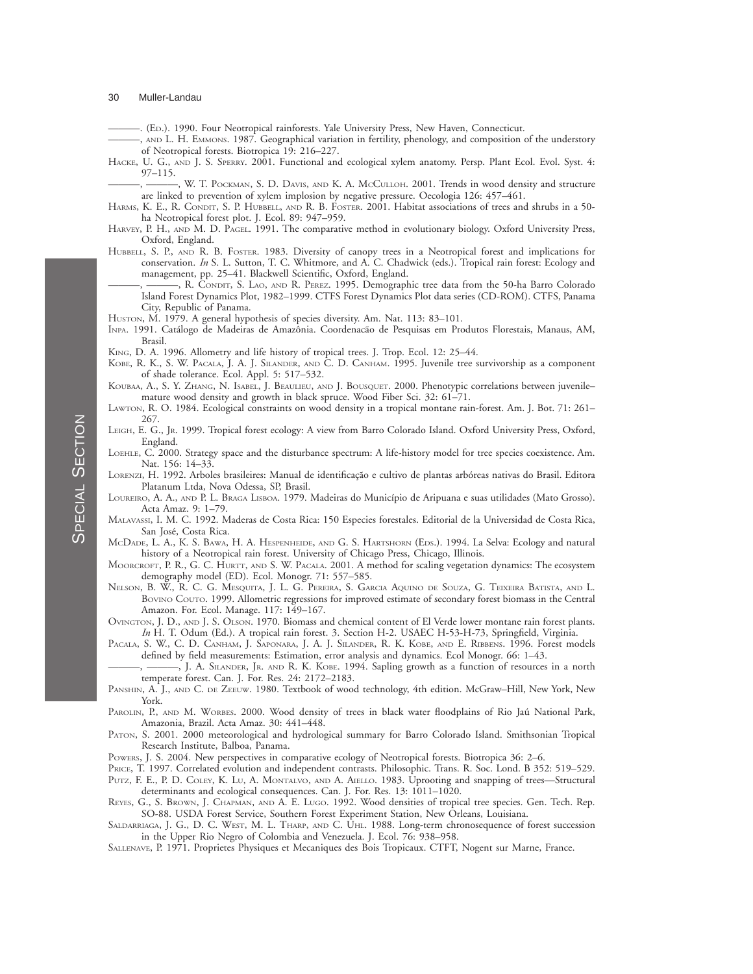———. (ED.). 1990. Four Neotropical rainforests. Yale University Press, New Haven, Connecticut.

- ———, AND L. H. EMMONS. 1987. Geographical variation in fertility, phenology, and composition of the understory of Neotropical forests. Biotropica 19: 216–227.
- HACKE, U. G., AND J. S. SPERRY. 2001. Functional and ecological xylem anatomy. Persp. Plant Ecol. Evol. Syst. 4: 97–115.

, W. T. POCKMAN, S. D. DAVIS, AND K. A. McCULLOH. 2001. Trends in wood density and structure are linked to prevention of xylem implosion by negative pressure. Oecologia 126: 457–461.

HARMS, K. E., R. CONDIT, S. P. HUBBELL, AND R. B. FOSTER. 2001. Habitat associations of trees and shrubs in a 50ha Neotropical forest plot. J. Ecol. 89: 947–959.

- HARVEY, P. H., AND M. D. PAGEL. 1991. The comparative method in evolutionary biology. Oxford University Press, Oxford, England.
- HUBBELL, S. P., AND R. B. FOSTER. 1983. Diversity of canopy trees in a Neotropical forest and implications for conservation. *In* S. L. Sutton, T. C. Whitmore, and A. C. Chadwick (eds.). Tropical rain forest: Ecology and management, pp. 25–41. Blackwell Scientific, Oxford, England.
	- ———, ———, R. CONDIT, S. LAO, AND R. PEREZ. 1995. Demographic tree data from the 50-ha Barro Colorado Island Forest Dynamics Plot, 1982–1999. CTFS Forest Dynamics Plot data series (CD-ROM). CTFS, Panama City, Republic of Panama.

HUSTON, M. 1979. A general hypothesis of species diversity. Am. Nat. 113: 83–101.

INPA. 1991. Catálogo de Madeiras de Amazônia. Coordenacão de Pesquisas em Produtos Florestais, Manaus, AM, Brasil.

KING, D. A. 1996. Allometry and life history of tropical trees. J. Trop. Ecol. 12: 25–44.

KOBE, R. K., S. W. PACALA, J. A. J. SILANDER, AND C. D. CANHAM. 1995. Juvenile tree survivorship as a component of shade tolerance. Ecol. Appl. 5: 517–532.

KOUBAA, A., S. Y. ZHANG, N. ISABEL, J. BEAULIEU, AND J. BOUSQUET. 2000. Phenotypic correlations between juvenile– mature wood density and growth in black spruce. Wood Fiber Sci. 32: 61–71.

LAWTON, R. O. 1984. Ecological constraints on wood density in a tropical montane rain-forest. Am. J. Bot. 71: 261– 267.

- LEIGH, E. G., JR. 1999. Tropical forest ecology: A view from Barro Colorado Island. Oxford University Press, Oxford, England.
- LOEHLE, C. 2000. Strategy space and the disturbance spectrum: A life-history model for tree species coexistence. Am. Nat. 156: 14–33.
- LORENZI, H. 1992. Arboles brasileires: Manual de identificação e cultivo de plantas arbóreas nativas do Brasil. Editora Platanum Ltda, Nova Odessa, SP, Brasil.
- LOUREIRO, A. A., AND P. L. BRAGA LISBOA. 1979. Madeiras do Município de Aripuana e suas utilidades (Mato Grosso). Acta Amaz. 9: 1–79.
- MALAVASSI, I. M. C. 1992. Maderas de Costa Rica: 150 Especies forestales. Editorial de la Universidad de Costa Rica, San José, Costa Rica.
- MCDADE, L. A., K. S. BAWA, H. A. HESPENHEIDE, AND G. S. HARTSHORN (EDS.). 1994. La Selva: Ecology and natural history of a Neotropical rain forest. University of Chicago Press, Chicago, Illinois.
- MOORCROFT, P. R., G. C. HURTT, AND S. W. PACALA. 2001. A method for scaling vegetation dynamics: The ecosystem demography model (ED). Ecol. Monogr. 71: 557–585.
- NELSON, B. W., R. C. G. MESQUITA, J. L. G. PEREIRA, S. GARCIA AQUINO DE SOUZA, G. TEIXEIRA BATISTA, AND L. BOVINO COUTO. 1999. Allometric regressions for improved estimate of secondary forest biomass in the Central Amazon. For. Ecol. Manage. 117: 149–167.
- OVINGTON, J. D., AND J. S. OLSON. 1970. Biomass and chemical content of El Verde lower montane rain forest plants. *In* H. T. Odum (Ed.). A tropical rain forest. 3. Section H-2. USAEC H-53-H-73, Springfield, Virginia.
- PACALA, S. W., C. D. CANHAM, J. SAPONARA, J. A. J. SILANDER, R. K. KOBE, AND E. RIBBENS. 1996. Forest models defined by field measurements: Estimation, error analysis and dynamics. Ecol Monogr. 66: 1–43. ———, ———, J. A. SILANDER, JR. AND R. K. KOBE. 1994. Sapling growth as a function of resources in a north
- temperate forest. Can. J. For. Res. 24: 2172–2183.

- PATON, S. 2001. 2000 meteorological and hydrological summary for Barro Colorado Island. Smithsonian Tropical Research Institute, Balboa, Panama.
- POWERS, J. S. 2004. New perspectives in comparative ecology of Neotropical forests. Biotropica 36: 2–6.
- PRICE, T. 1997. Correlated evolution and independent contrasts. Philosophic. Trans. R. Soc. Lond. B 352: 519–529.
- PUTZ, F. E., P. D. COLEY, K. LU, A. MONTALVO, AND A. AIELLO. 1983. Uprooting and snapping of trees-Structural determinants and ecological consequences. Can. J. For. Res. 13: 1011–1020.
- REYES, G., S. BROWN, J. CHAPMAN, AND A. E. LUGO. 1992. Wood densities of tropical tree species. Gen. Tech. Rep. SO-88. USDA Forest Service, Southern Forest Experiment Station, New Orleans, Louisiana.
- SALDARRIAGA, J. G., D. C. WEST, M. L. THARP, AND C. UHL. 1988. Long-term chronosequence of forest succession in the Upper Rio Negro of Colombia and Venezuela. J. Ecol. 76: 938–958.
- SALLENAVE, P. 1971. Proprietes Physiques et Mecaniques des Bois Tropicaux. CTFT, Nogent sur Marne, France.

PANSHIN, A. J., AND C. DE ZEEUW. 1980. Textbook of wood technology, 4th edition. McGraw–Hill, New York, New York.

PAROLIN, P., AND M. WORBES. 2000. Wood density of trees in black water floodplains of Rio Jaú National Park, Amazonia, Brazil. Acta Amaz. 30: 441–448.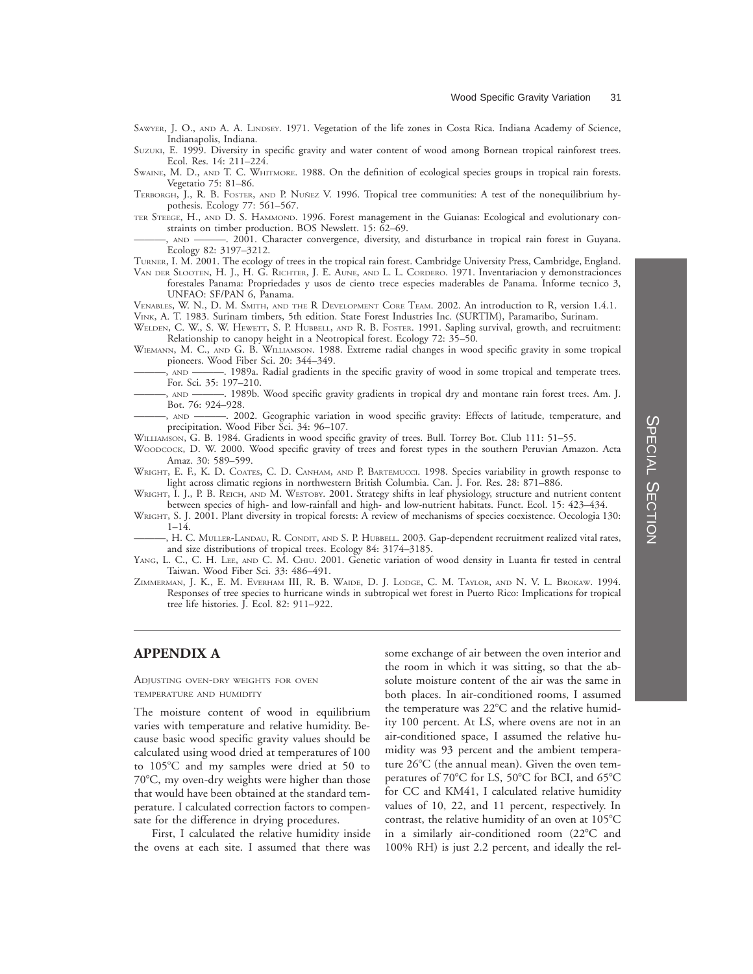SAWYER, J. O., AND A. A. LINDSEY. 1971. Vegetation of the life zones in Costa Rica. Indiana Academy of Science, Indianapolis, Indiana.

SWAINE, M. D., AND T. C. WHITMORE. 1988. On the definition of ecological species groups in tropical rain forests. Vegetatio 75: 81–86.

TERBORGH, J., R. B. FOSTER, AND P. NUNEZ V. 1996. Tropical tree communities: A test of the nonequilibrium hypothesis. Ecology 77: 561–567.

TER STEEGE, H., AND D. S. HAMMOND. 1996. Forest management in the Guianas: Ecological and evolutionary constraints on timber production. BOS Newslett. 15: 62–69.

———, AND ———. 2001. Character convergence, diversity, and disturbance in tropical rain forest in Guyana. Ecology 82: 3197–3212.

TURNER, I. M. 2001. The ecology of trees in the tropical rain forest. Cambridge University Press, Cambridge, England.

VAN DER SLOOTEN, H. J., H. G. RICHTER, J. E. AUNE, AND L. L. CORDERO. 1971. Inventariacion y demonstracionces forestales Panama: Propriedades y usos de ciento trece especies maderables de Panama. Informe tecnico 3, UNFAO: SF/PAN 6, Panama.

VENABLES, W. N., D. M. SMITH, AND THE R DEVELOPMENT CORE TEAM. 2002. An introduction to R, version 1.4.1. VINK, A. T. 1983. Surinam timbers, 5th edition. State Forest Industries Inc. (SURTIM), Paramaribo, Surinam.

WELDEN, C. W., S. W. HEWETT, S. P. HUBBELL, AND R. B. FOSTER. 1991. Sapling survival, growth, and recruitment: Relationship to canopy height in a Neotropical forest. Ecology 72: 35–50.

WIEMANN, M. C., AND G. B. WILLIAMSON. 1988. Extreme radial changes in wood specific gravity in some tropical pioneers. Wood Fiber Sci. 20: 344–349.

AND ———. 1989a. Radial gradients in the specific gravity of wood in some tropical and temperate trees. For. Sci. 35: 197–210.

———, AND ———. 2002. Geographic variation in wood specific gravity: Effects of latitude, temperature, and precipitation. Wood Fiber Sci. 34: 96–107.

WILLIAMSON, G. B. 1984. Gradients in wood specific gravity of trees. Bull. Torrey Bot. Club 111: 51–55.

- WOODCOCK, D. W. 2000. Wood specific gravity of trees and forest types in the southern Peruvian Amazon. Acta Amaz. 30: 589–599.
- WRIGHT, E. F., K. D. COATES, C. D. CANHAM, AND P. BARTEMUCCI. 1998. Species variability in growth response to light across climatic regions in northwestern British Columbia. Can. J. For. Res. 28: 871–886.

WRIGHT, I. J., P. B. REICH, AND M. WESTOBY. 2001. Strategy shifts in leaf physiology, structure and nutrient content between species of high- and low-rainfall and high- and low-nutrient habitats. Funct. Ecol. 15: 423–434.

WRIGHT, S. J. 2001. Plant diversity in tropical forests: A review of mechanisms of species coexistence. Oecologia 130:  $1 - 14$ .

———, H. C. MULLER-LANDAU, R. CONDIT, AND S. P. HUBBELL. 2003. Gap-dependent recruitment realized vital rates, and size distributions of tropical trees. Ecology 84: 3174–3185.

YANG, L. C., C. H. LEE, AND C. M. CHIU. 2001. Genetic variation of wood density in Luanta fir tested in central Taiwan. Wood Fiber Sci. 33: 486–491.

ZIMMERMAN, J. K., E. M. EVERHAM III, R. B. WAIDE, D. J. LODGE, C. M. TAYLOR, AND N. V. L. BROKAW. 1994. Responses of tree species to hurricane winds in subtropical wet forest in Puerto Rico: Implications for tropical tree life histories. J. Ecol. 82: 911–922.

# **APPENDIX A**

ADJUSTING OVEN-DRY WEIGHTS FOR OVEN TEMPERATURE AND HUMIDITY

The moisture content of wood in equilibrium varies with temperature and relative humidity. Because basic wood specific gravity values should be calculated using wood dried at temperatures of 100 to 105°C and my samples were dried at 50 to 70°C, my oven-dry weights were higher than those that would have been obtained at the standard temperature. I calculated correction factors to compensate for the difference in drying procedures.

First, I calculated the relative humidity inside the ovens at each site. I assumed that there was

some exchange of air between the oven interior and the room in which it was sitting, so that the absolute moisture content of the air was the same in both places. In air-conditioned rooms, I assumed the temperature was  $22^{\circ}$ C and the relative humidity 100 percent. At LS, where ovens are not in an air-conditioned space, I assumed the relative humidity was 93 percent and the ambient temperature  $26^{\circ}$ C (the annual mean). Given the oven temperatures of 70 $\degree$ C for LS, 50 $\degree$ C for BCI, and 65 $\degree$ C for CC and KM41, I calculated relative humidity values of 10, 22, and 11 percent, respectively. In contrast, the relative humidity of an oven at  $105^{\circ}$ C in a similarly air-conditioned room  $(22^{\circ}C$  and 100% RH) is just 2.2 percent, and ideally the rel-

SUZUKI, E. 1999. Diversity in specific gravity and water content of wood among Bornean tropical rainforest trees. Ecol. Res. 14: 211–224.

<sup>———,</sup> AND ———. 1989b. Wood specific gravity gradients in tropical dry and montane rain forest trees. Am. J. Bot. 76: 924–928.